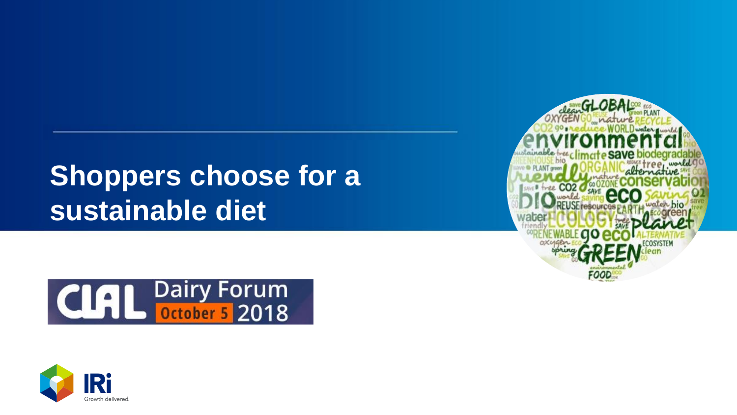# **Shoppers choose for a sustainable diet**





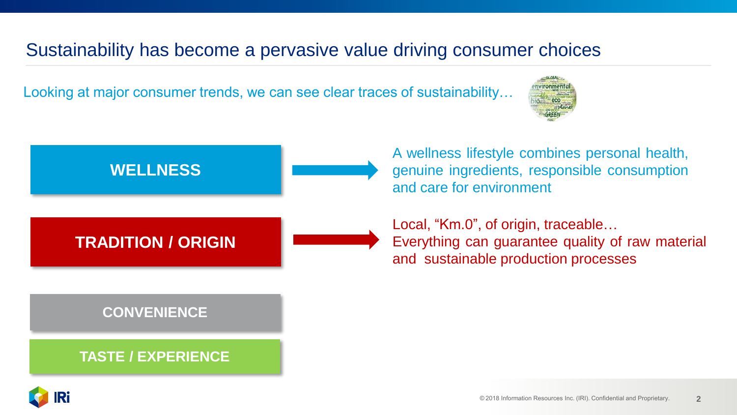### Sustainability has become a pervasive value driving consumer choices

Looking at major consumer trends, we can see clear traces of sustainability…





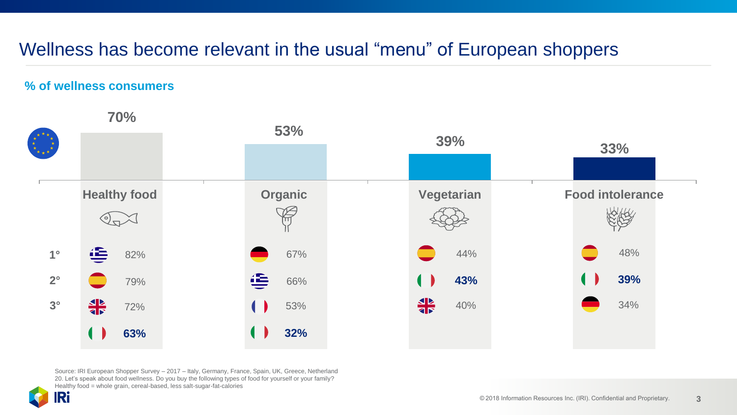### Wellness has become relevant in the usual "menu" of European shoppers

#### **% of wellness consumers**



Source: IRI European Shopper Survey – 2017 – Italy, Germany, France, Spain, UK, Greece, Netherland 20. Let's speak about food wellness. Do you buy the following types of food for yourself or your family? Healthy food = whole grain, cereal-based, less salt-sugar-fat-calories

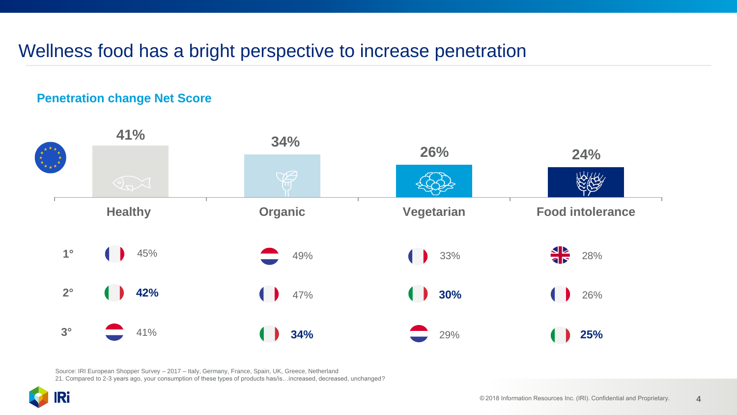### Wellness food has a bright perspective to increase penetration

#### **Penetration change Net Score**



Source: IRI European Shopper Survey – 2017 – Italy, Germany, France, Spain, UK, Greece, Netherland 21. Compared to 2-3 years ago, your consumption of these types of products has/is…increased, decreased, unchanged?

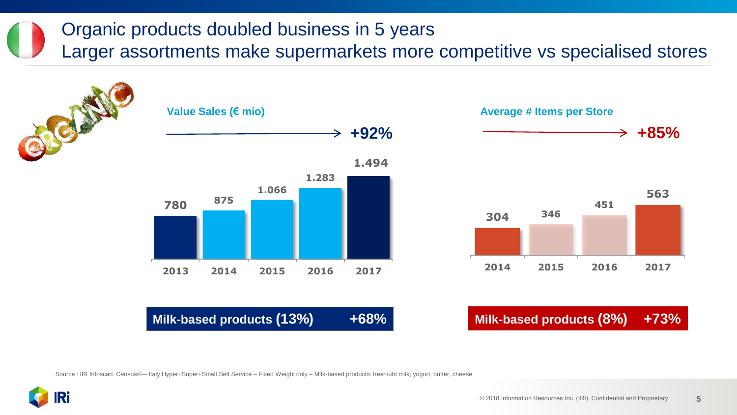## Organic products doubled business in 5 years

Larger assortments make supermarkets more competitive vs specialised stores



Source : IRI Infoscan Census®-– Italy Hyper+Super+Small Self Service – Fixed Weight only – Milk-based products: fresh/uht milk, yogurt, butter, cheese

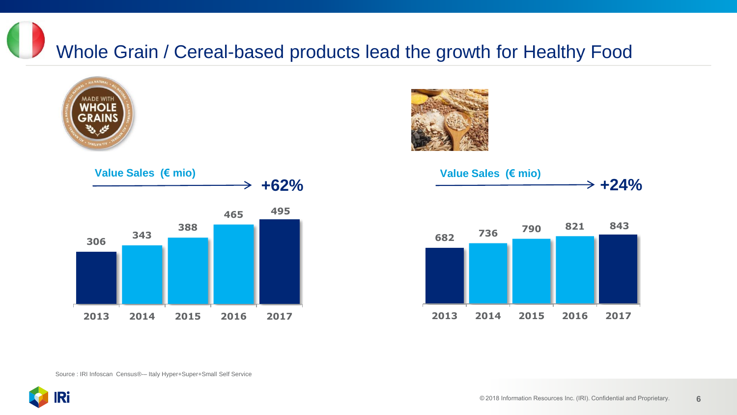Whole Grain / Cereal-based products lead the growth for Healthy Food









Source : IRI Infoscan Census®-– Italy Hyper+Super+Small Self Service

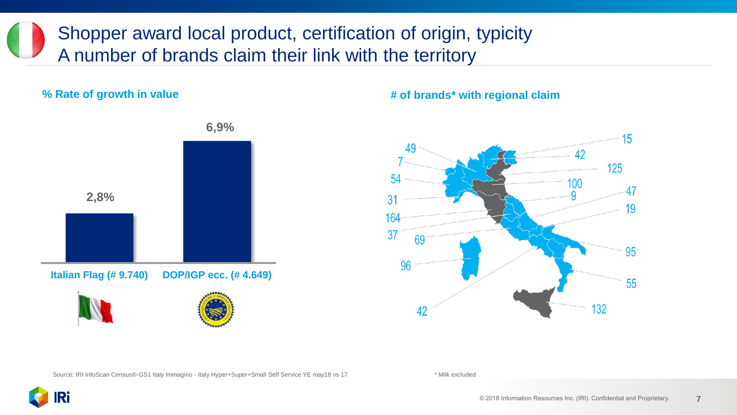Shopper award local product, certification of origin, typicity A number of brands claim their link with the territory

**% Rate of growth in value**



#### **6,9%**

**# of brands\* with regional claim**



Source: IRI InfoScan Census®-GS1 Italy Immagino - Italy Hyper+Super+Small Self Service YE may18 vs 17 \* \* Milk excluded

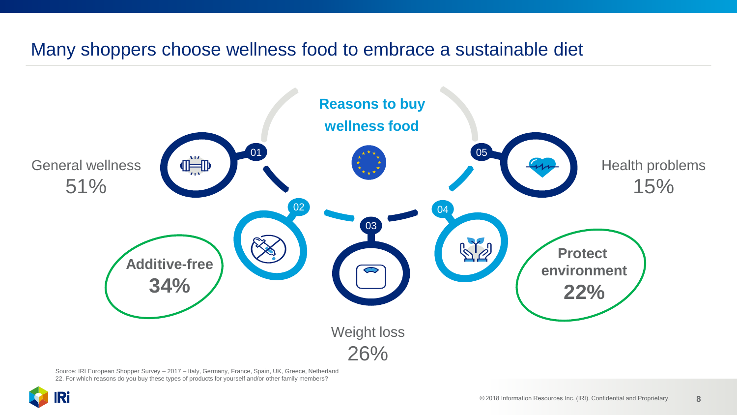#### Many shoppers choose wellness food to embrace a sustainable diet



Source: IRI European Shopper Survey – 2017 – Italy, Germany, France, Spain, UK, Greece, Netherland 22. For which reasons do you buy these types of products for yourself and/or other family members?

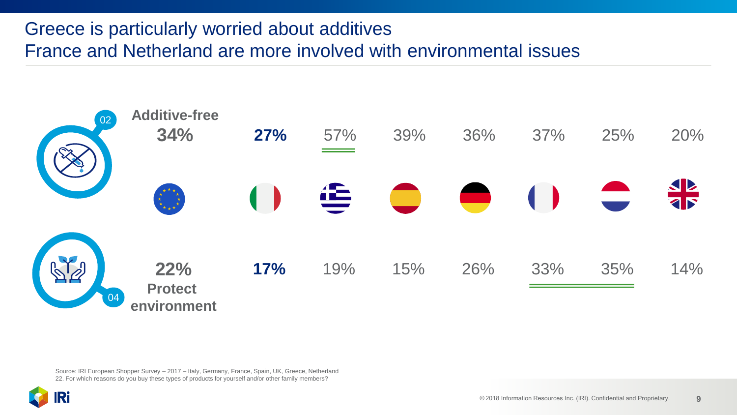### Greece is particularly worried about additives France and Netherland are more involved with environmental issues



Source: IRI European Shopper Survey – 2017 – Italy, Germany, France, Spain, UK, Greece, Netherland 22. For which reasons do you buy these types of products for yourself and/or other family members?

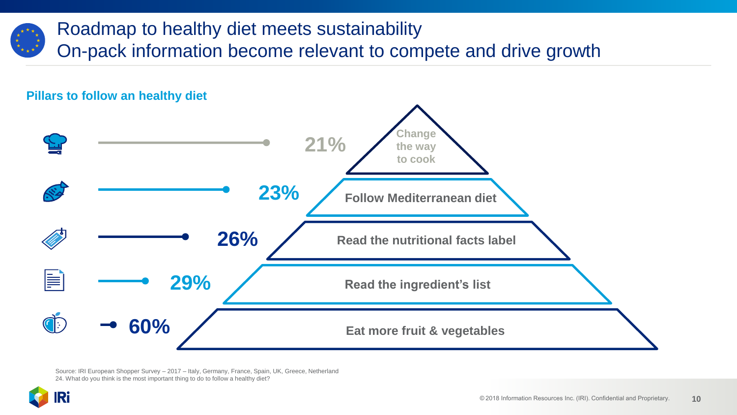

## Roadmap to healthy diet meets sustainability On-pack information become relevant to compete and drive growth



Source: IRI European Shopper Survey – 2017 – Italy, Germany, France, Spain, UK, Greece, Netherland 24. What do you think is the most important thing to do to follow a healthy diet?

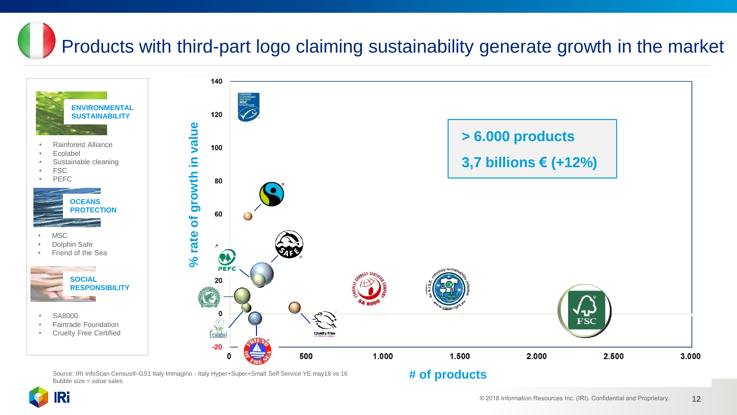# Products with third-part logo claiming sustainability generate growth in the market



Ri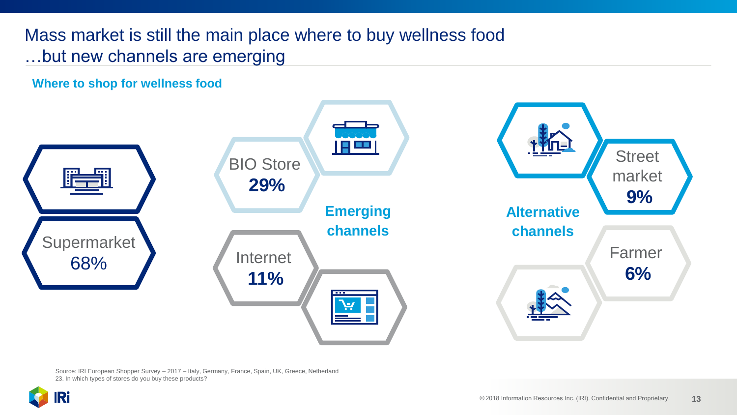Mass market is still the main place where to buy wellness food …but new channels are emerging

**Where to shop for wellness food**



Source: IRI European Shopper Survey – 2017 – Italy, Germany, France, Spain, UK, Greece, Netherland 23. In which types of stores do you buy these products?

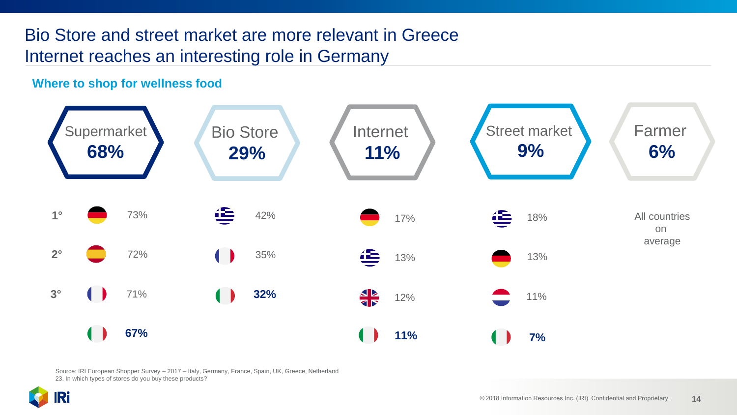### Bio Store and street market are more relevant in Greece Internet reaches an interesting role in Germany

#### **Where to shop for wellness food**



Source: IRI European Shopper Survey – 2017 – Italy, Germany, France, Spain, UK, Greece, Netherland 23. In which types of stores do you buy these products?